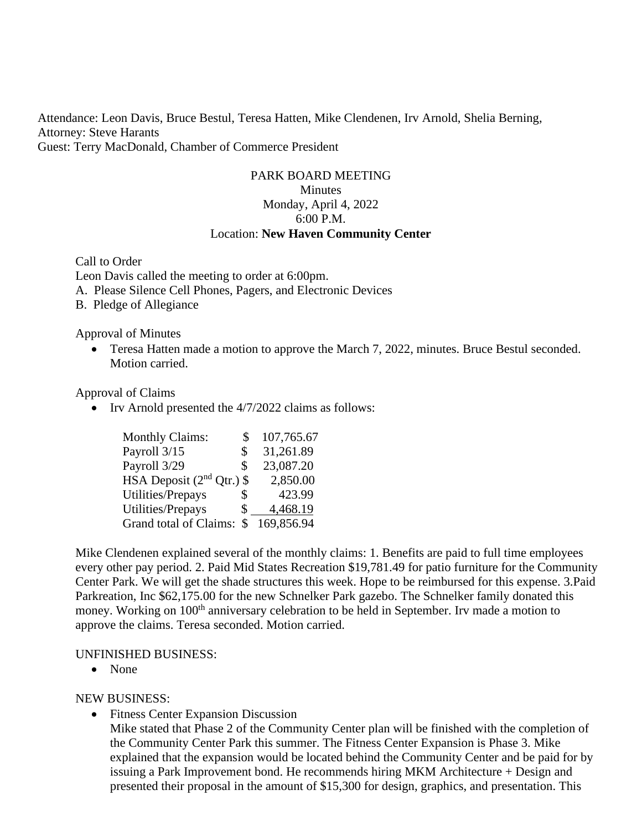Attendance: Leon Davis, Bruce Bestul, Teresa Hatten, Mike Clendenen, Irv Arnold, Shelia Berning, Attorney: Steve Harants Guest: Terry MacDonald, Chamber of Commerce President

### PARK BOARD MEETING Minutes Monday, April 4, 2022 6:00 P.M. Location: **New Haven Community Center**

Call to Order Leon Davis called the meeting to order at 6:00pm. A. Please Silence Cell Phones, Pagers, and Electronic Devices

B. Pledge of Allegiance

Approval of Minutes

• Teresa Hatten made a motion to approve the March 7, 2022, minutes. Bruce Bestul seconded. Motion carried.

Approval of Claims

• Irv Arnold presented the 4/7/2022 claims as follows:

| <b>Monthly Claims:</b>      | S  | 107,765.67 |
|-----------------------------|----|------------|
| Payroll 3/15                | \$ | 31,261.89  |
| Payroll 3/29                | \$ | 23,087.20  |
| HSA Deposit $(2nd Qtr.)$ \$ |    | 2,850.00   |
| Utilities/Prepays           | \$ | 423.99     |
| Utilities/Prepays           | S  | 4,468.19   |
| Grand total of Claims: \$   |    | 169,856.94 |

Mike Clendenen explained several of the monthly claims: 1. Benefits are paid to full time employees every other pay period. 2. Paid Mid States Recreation \$19,781.49 for patio furniture for the Community Center Park. We will get the shade structures this week. Hope to be reimbursed for this expense. 3.Paid Parkreation, Inc \$62,175.00 for the new Schnelker Park gazebo. The Schnelker family donated this money. Working on 100<sup>th</sup> anniversary celebration to be held in September. Irv made a motion to approve the claims. Teresa seconded. Motion carried.

#### UNFINISHED BUSINESS:

• None

NEW BUSINESS:

• Fitness Center Expansion Discussion

Mike stated that Phase 2 of the Community Center plan will be finished with the completion of the Community Center Park this summer. The Fitness Center Expansion is Phase 3. Mike explained that the expansion would be located behind the Community Center and be paid for by issuing a Park Improvement bond. He recommends hiring MKM Architecture + Design and presented their proposal in the amount of \$15,300 for design, graphics, and presentation. This